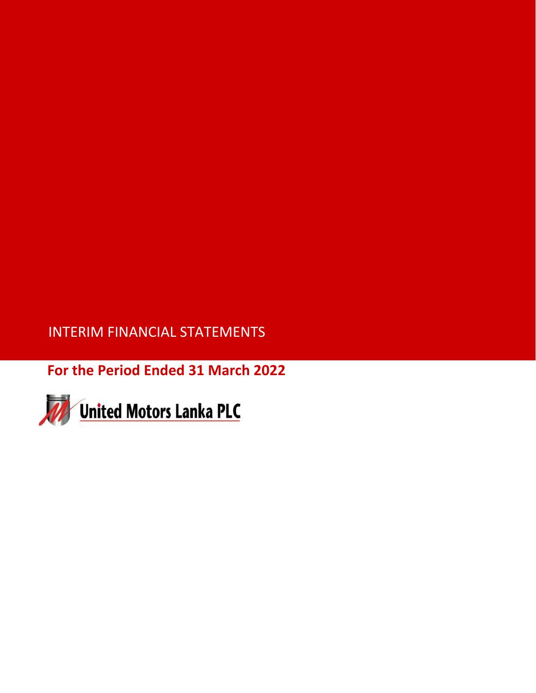INTERIM FINANCIAL STATEMENTS

**For the Period Ended 31 March 2022**

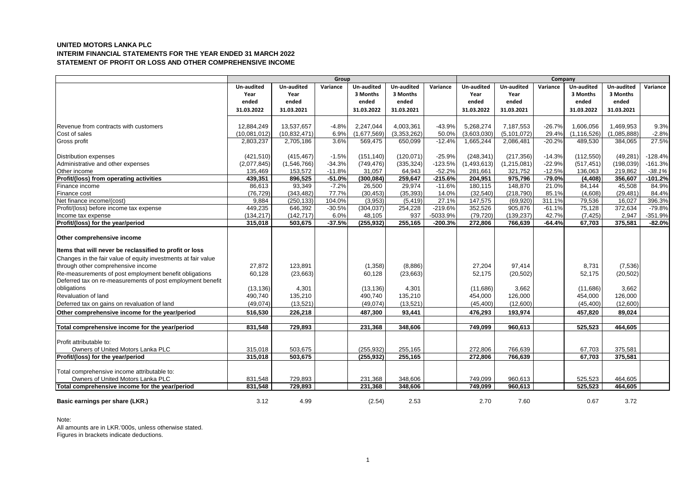# **UNITED MOTORS LANKA PLC INTERIM FINANCIAL STATEMENTS FOR THE YEAR ENDED 31 MARCH 2022 STATEMENT OF PROFIT OR LOSS AND OTHER COMPREHENSIVE INCOME**

|                                                               | Group        |                |          |             | Company     |           |             |               |          |               |             |           |
|---------------------------------------------------------------|--------------|----------------|----------|-------------|-------------|-----------|-------------|---------------|----------|---------------|-------------|-----------|
|                                                               | Un-audited   | Un-audited     | Variance | Un-audited  | Un-audited  | Variance  | Un-audited  | Un-audited    | Variance | Un-audited    | Un-audited  | Variance  |
|                                                               | Year         | Year           |          | 3 Months    | 3 Months    |           | Year        | Year          |          | 3 Months      | 3 Months    |           |
|                                                               | ended        | ended          |          | ended       | ended       |           | ended       | ended         |          | ended         | ended       |           |
|                                                               | 31.03.2022   | 31.03.2021     |          | 31.03.2022  | 31.03.2021  |           | 31.03.2022  | 31.03.2021    |          | 31.03.2022    | 31.03.2021  |           |
|                                                               |              |                |          |             |             |           |             |               |          |               |             |           |
| Revenue from contracts with customers                         | 12,884,249   | 13,537,657     | $-4.8%$  | 2,247,044   | 4,003,361   | $-43.9%$  | 5,268,274   | 7,187,553     | $-26.7%$ | 1,606,056     | 1,469,953   | 9.3%      |
| Cost of sales                                                 | (10,081,012) | (10, 832, 471) | 6.9%     | (1,677,569) | (3,353,262) | 50.0%     | (3,603,030) | (5, 101, 072) | 29.4%    | (1, 116, 526) | (1,085,888) | $-2.8%$   |
| Gross profit                                                  | 2,803,237    | 2,705,186      | 3.6%     | 569,475     | 650,099     | $-12.4%$  | 1,665,244   | 2,086,481     | $-20.2%$ | 489,530       | 384,065     | 27.5%     |
| <b>Distribution expenses</b>                                  | (421, 510)   | (415, 467)     | $-1.5%$  | (151, 140)  | (120, 071)  | $-25.9%$  | (248, 341)  | (217, 356)    | $-14.3%$ | (112, 550)    | (49, 281)   | $-128.4%$ |
| Administrative and other expenses                             | (2,077,845)  | (1,546,766)    | $-34.3%$ | (749, 476)  | (335, 324)  | $-123.5%$ | (1,493,613) | (1,215,081)   | $-22.9%$ | (517, 451)    | (198, 039)  | $-161.3%$ |
| Other income                                                  | 135,469      | 153,572        | $-11.8%$ | 31,057      | 64,943      | $-52.2%$  | 281,661     | 321,752       | $-12.5%$ | 136,063       | 219,862     | $-38.1%$  |
| Profit/(loss) from operating activities                       | 439,351      | 896,525        | $-51.0%$ | (300, 084)  | 259,647     | $-215.6%$ | 204,951     | 975,796       | $-79.0%$ | (4, 408)      | 356,607     | $-101.2%$ |
| Finance income                                                | 86,613       | 93,349         | $-7.2%$  | 26,500      | 29,974      | $-11.6%$  | 180,115     | 148,870       | 21.0%    | 84,144        | 45,508      | 84.9%     |
| Finance cost                                                  | (76, 729)    | (343, 482)     | 77.7%    | (30, 453)   | (35, 393)   | 14.0%     | (32, 540)   | (218, 790)    | 85.1%    | (4,608)       | (29, 481)   | 84.4%     |
| Net finance income/(cost)                                     | 9.884        | (250, 133)     | 104.0%   | (3,953)     | (5, 419)    | 27.1%     | 147,575     | (69, 920)     | 311.1%   | 79,536        | 16,027      | 396.3%    |
| Profit/(loss) before income tax expense                       | 449,235      | 646,392        | $-30.5%$ | (304, 037)  | 254,228     | $-219.6%$ | 352,526     | 905,876       | $-61.1%$ | 75,128        | 372,634     | $-79.8%$  |
| Income tax expense                                            | (134, 217)   | (142, 717)     | 6.0%     | 48,105      | 937         | -5033.9%  | (79, 720)   | (139, 237)    | 42.7%    | (7, 425)      | 2,947       | $-351.9%$ |
| Profit/(loss) for the year/period                             | 315,018      | 503,675        | $-37.5%$ | (255, 932)  | 255,165     | $-200.3%$ | 272,806     | 766,639       | $-64.4%$ | 67,703        | 375,581     | $-82.0%$  |
| Other comprehensive income                                    |              |                |          |             |             |           |             |               |          |               |             |           |
| Items that will never be reclassified to profit or loss       |              |                |          |             |             |           |             |               |          |               |             |           |
| Changes in the fair value of equity investments at fair value |              |                |          |             |             |           |             |               |          |               |             |           |
| through other comprehensive income                            | 27,872       | 123.891        |          | (1,358)     | (8,886)     |           | 27.204      | 97.414        |          | 8,731         | (7,536)     |           |
| Re-measurements of post employment benefit obligations        | 60,128       | (23, 663)      |          | 60,128      | (23, 663)   |           | 52,175      | (20, 502)     |          | 52,175        | (20, 502)   |           |
| Deferred tax on re-measurements of post employment benefit    |              |                |          |             |             |           |             |               |          |               |             |           |
| obligations                                                   | (13, 136)    | 4,301          |          | (13, 136)   | 4,301       |           | (11,686)    | 3,662         |          | (11,686)      | 3,662       |           |
| Revaluation of land                                           | 490,740      | 135,210        |          | 490,740     | 135,210     |           | 454,000     | 126,000       |          | 454,000       | 126,000     |           |
| Deferred tax on gains on revaluation of land                  | (49, 074)    | (13, 521)      |          | (49,074)    | (13, 521)   |           | (45, 400)   | (12,600)      |          | (45, 400)     | (12,600)    |           |
| Other comprehensive income for the year/period                | 516,530      | 226,218        |          | 487,300     | 93,441      |           | 476,293     | 193,974       |          | 457,820       | 89,024      |           |
| Total comprehensive income for the year/period                | 831,548      | 729,893        |          | 231,368     | 348,606     |           | 749.099     | 960,613       |          | 525,523       | 464,605     |           |
|                                                               |              |                |          |             |             |           |             |               |          |               |             |           |
| Profit attributable to:                                       |              |                |          |             |             |           |             |               |          |               |             |           |
| Owners of United Motors Lanka PLC                             | 315,018      | 503,675        |          | (255, 932)  | 255,165     |           | 272,806     | 766,639       |          | 67,703        | 375,581     |           |
| Profit/(loss) for the year/period                             | 315,018      | 503,675        |          | (255, 932)  | 255,165     |           | 272,806     | 766,639       |          | 67,703        | 375,581     |           |
| Total comprehensive income attributable to:                   |              |                |          |             |             |           |             |               |          |               |             |           |
| Owners of United Motors Lanka PLC                             | 831,548      | 729,893        |          | 231,368     | 348,606     |           | 749,099     | 960,613       |          | 525,523       | 464,605     |           |
| Total comprehensive income for the year/period                | 831,548      | 729,893        |          | 231,368     | 348,606     |           | 749,099     | 960,613       |          | 525,523       | 464,605     |           |
| Basic earnings per share (LKR.)                               | 3.12         | 4.99           |          | (2.54)      | 2.53        |           | 2.70        | 7.60          |          | 0.67          | 3.72        |           |

Note:

All amounts are in LKR.'000s, unless otherwise stated. Figures in brackets indicate deductions.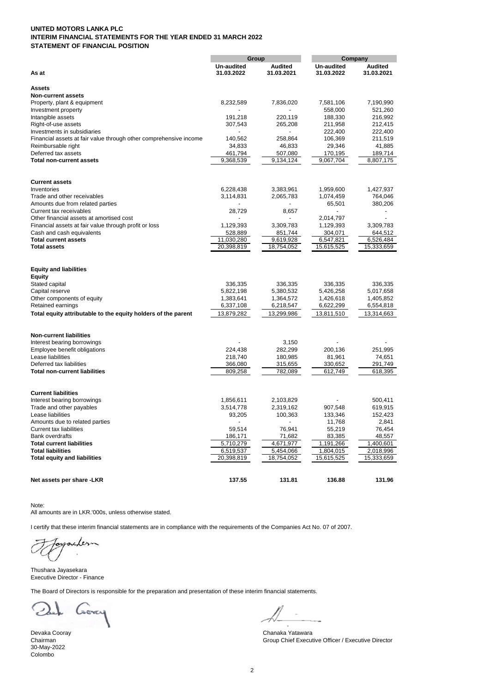# **UNITED MOTORS LANKA PLC INTERIM FINANCIAL STATEMENTS FOR THE YEAR ENDED 31 MARCH 2022 STATEMENT OF FINANCIAL POSITION**

|                                                                   | Group                    |                | Company    |                |  |
|-------------------------------------------------------------------|--------------------------|----------------|------------|----------------|--|
|                                                                   | Un-audited               | <b>Audited</b> | Un-audited | <b>Audited</b> |  |
| As at                                                             | 31.03.2022               | 31.03.2021     | 31.03.2022 | 31.03.2021     |  |
| <b>Assets</b>                                                     |                          |                |            |                |  |
| <b>Non-current assets</b>                                         |                          |                |            |                |  |
| Property, plant & equipment                                       | 8,232,589                | 7,836,020      | 7,581,106  | 7,190,990      |  |
| Investment property                                               |                          |                | 558,000    | 521,260        |  |
| Intangible assets                                                 | 191,218                  | 220,119        | 188,330    | 216,992        |  |
| Right-of-use assets                                               | 307,543                  | 265,208        | 211,958    | 212,415        |  |
| Investments in subsidiaries                                       |                          |                | 222,400    | 222,400        |  |
| Financial assets at fair value through other comprehensive income | 140,562                  | 258,864        | 106,369    | 211,519        |  |
| Reimbursable right                                                | 34,833                   | 46,833         | 29,346     | 41,885         |  |
| Deferred tax assets                                               | 461,794                  | 507,080        | 170,195    | 189,714        |  |
| <b>Total non-current assets</b>                                   | 9,368,539                | 9,134,124      | 9,067,704  | 8,807,175      |  |
| <b>Current assets</b>                                             |                          |                |            |                |  |
| Inventories                                                       | 6,228,438                | 3,383,961      | 1,959,600  | 1,427,937      |  |
| Trade and other receivables                                       | 3,114,831                | 2,065,783      | 1,074,459  | 764,046        |  |
| Amounts due from related parties                                  |                          |                | 65,501     | 380,206        |  |
| Current tax receivables                                           | 28,729                   | 8,657          |            |                |  |
| Other financial assets at amortised cost                          | $\overline{a}$           | ÷              | 2,014,797  | $\overline{a}$ |  |
| Financial assets at fair value through profit or loss             | 1,129,393                | 3,309,783      | 1,129,393  | 3,309,783      |  |
| Cash and cash equivalents                                         | 528,889                  | 851,744        | 304,071    | 644,512        |  |
| <b>Total current assets</b>                                       | 11,030,280               | 9,619,928      | 6,547,821  | 6,526,484      |  |
| <b>Total assets</b>                                               | 20,398,819               | 18,754,052     | 15,615,525 | 15,333,659     |  |
| <b>Equity and liabilities</b>                                     |                          |                |            |                |  |
| Equity                                                            |                          |                |            |                |  |
| Stated capital                                                    | 336,335                  | 336,335        | 336,335    | 336,335        |  |
| Capital reserve                                                   | 5,822,198                | 5,380,532      | 5,426,258  | 5,017,658      |  |
| Other components of equity                                        | 1,383,641                | 1,364,572      | 1,426,618  | 1,405,852      |  |
| Retained earnings                                                 | 6,337,108                | 6,218,547      | 6,622,299  | 6,554,818      |  |
| Total equity attributable to the equity holders of the parent     | 13,879,282               | 13,299,986     | 13,811,510 | 13,314,663     |  |
| <b>Non-current liabilities</b>                                    |                          |                |            |                |  |
| Interest bearing borrowings                                       |                          | 3,150          |            |                |  |
| Employee benefit obligations                                      | 224,438                  | 282,299        | 200,136    | 251,995        |  |
| Lease liabilities                                                 | 218,740                  | 180,985        | 81,961     | 74,651         |  |
| Deferred tax liabilities                                          | 366,080                  | 315,655        | 330,652    | 291,749        |  |
| <b>Total non-current liabilities</b>                              | 809,258                  | 782,089        | 612,749    | 618,395        |  |
| <b>Current liabilities</b>                                        |                          |                |            |                |  |
| Interest bearing borrowings                                       | 1,856,611                | 2,103,829      |            | 500,411        |  |
| Trade and other payables                                          | 3,514,778                | 2,319,162      | 907,548    | 619,915        |  |
| Lease liabilities                                                 | 93,205                   | 100,363        | 133,346    | 152,423        |  |
| Amounts due to related parties                                    | $\overline{\phantom{a}}$ | ٠              | 11,768     | 2,841          |  |
| <b>Current tax liabilities</b>                                    | 59,514                   | 76,941         | 55,219     | 76,454         |  |
| <b>Bank overdrafts</b>                                            | 186,171                  | 71,682         | 83,385     | 48,557         |  |
| <b>Total current liabilities</b>                                  | 5,710,279                | 4,671,977      | 1,191,266  | 1,400,601      |  |
| <b>Total liabilities</b>                                          | 6,519,537                | 5,454,066      | 1,804,015  | 2,018,996      |  |
| <b>Total equity and liabilities</b>                               | 20,398,819               | 18,754,052     | 15,615,525 | 15,333,659     |  |
| Net assets per share -LKR                                         | 137.55                   | 131.81         | 136.88     | 131.96         |  |

Note:

All amounts are in LKR.'000s, unless otherwise stated.

I certify that these interim financial statements are in compliance with the requirements of the Companies Act No. 07 of 2007.

Layacher C

Thushara Jayasekara Executive Director - Finance

The Board of Directors is responsible for the preparation and presentation of these interim financial statements.

sorry

30-May-2022 Colombo

Devaka Cooray Chanaka Yatawara Group Chief Executive Officer / Executive Director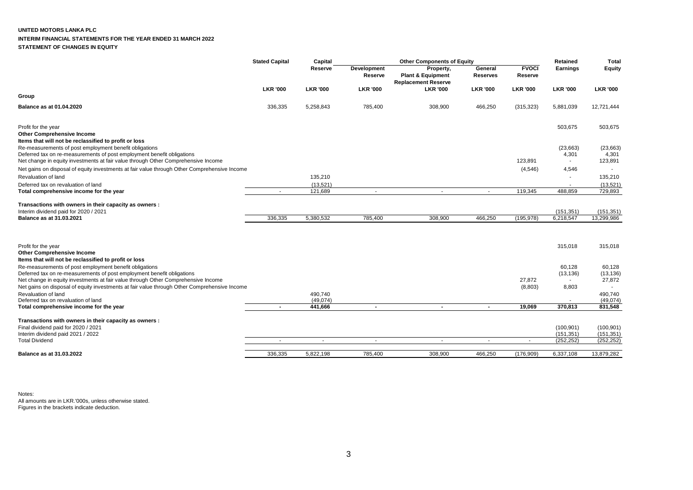### **UNITED MOTORS LANKA PLC**

# **INTERIM FINANCIAL STATEMENTS FOR THE YEAR ENDED 31 MARCH 2022**

**STATEMENT OF CHANGES IN EQUITY**

|                                                                                                                                  | <b>Stated Capital</b> | Capital             | <b>Other Components of Equity</b> |                                                                         |                            | Retained                | Total                    |                          |
|----------------------------------------------------------------------------------------------------------------------------------|-----------------------|---------------------|-----------------------------------|-------------------------------------------------------------------------|----------------------------|-------------------------|--------------------------|--------------------------|
|                                                                                                                                  |                       | Reserve             | Development<br>Reserve            | Property,<br><b>Plant &amp; Equipment</b><br><b>Replacement Reserve</b> | General<br><b>Reserves</b> | <b>FVOCI</b><br>Reserve | Earnings                 | Equity                   |
|                                                                                                                                  | <b>LKR '000</b>       | <b>LKR '000</b>     | <b>LKR '000</b>                   | <b>LKR '000</b>                                                         | <b>LKR '000</b>            | <b>LKR '000</b>         | <b>LKR '000</b>          | <b>LKR '000</b>          |
| Group                                                                                                                            |                       |                     |                                   |                                                                         |                            |                         |                          |                          |
| <b>Balance as at 01.04.2020</b>                                                                                                  | 336,335               | 5,258,843           | 785,400                           | 308,900                                                                 | 466,250                    | (315, 323)              | 5,881,039                | 12,721,444               |
| Profit for the year<br><b>Other Comprehensive Income</b><br>Items that will not be reclassified to profit or loss                |                       |                     |                                   |                                                                         |                            |                         | 503,675                  | 503,675                  |
| Re-measurements of post employment benefit obligations<br>Deferred tax on re-measurements of post employment benefit obligations |                       |                     |                                   |                                                                         |                            |                         | (23, 663)<br>4,301       | (23, 663)<br>4,301       |
| Net change in equity investments at fair value through Other Comprehensive Income                                                |                       |                     |                                   |                                                                         |                            | 123,891                 | $\sim$                   | 123,891                  |
| Net gains on disposal of equity investments at fair value through Other Comprehensive Income                                     |                       |                     |                                   |                                                                         |                            | (4, 546)                | 4,546                    |                          |
| Revaluation of land<br>Deferred tax on revaluation of land                                                                       |                       | 135,210<br>(13,521) |                                   |                                                                         |                            |                         |                          | 135,210<br>(13,521)      |
| Total comprehensive income for the year                                                                                          |                       | 121,689             | $\blacksquare$                    | $\overline{\phantom{a}}$                                                |                            | 119,345                 | 488,859                  | 729,893                  |
|                                                                                                                                  |                       |                     |                                   |                                                                         |                            |                         |                          |                          |
| Transactions with owners in their capacity as owners :<br>Interim dividend paid for 2020 / 2021                                  |                       |                     |                                   |                                                                         |                            |                         | (151, 351)               | (151, 351)               |
| Balance as at 31.03.2021                                                                                                         | 336,335               | 5,380,532           | 785,400                           | 308,900                                                                 | 466,250                    | (195, 978)              | 6,218,547                | 13,299,986               |
|                                                                                                                                  |                       |                     |                                   |                                                                         |                            |                         |                          |                          |
|                                                                                                                                  |                       |                     |                                   |                                                                         |                            |                         |                          |                          |
| Profit for the year                                                                                                              |                       |                     |                                   |                                                                         |                            |                         | 315,018                  | 315,018                  |
| <b>Other Comprehensive Income</b><br>Items that will not be reclassified to profit or loss                                       |                       |                     |                                   |                                                                         |                            |                         |                          |                          |
| Re-measurements of post employment benefit obligations                                                                           |                       |                     |                                   |                                                                         |                            |                         | 60,128                   | 60,128                   |
| Deferred tax on re-measurements of post employment benefit obligations                                                           |                       |                     |                                   |                                                                         |                            |                         | (13, 136)                | (13, 136)                |
| Net change in equity investments at fair value through Other Comprehensive Income                                                |                       |                     |                                   |                                                                         |                            | 27,872                  |                          | 27,872<br>$\sim$         |
| Net gains on disposal of equity investments at fair value through Other Comprehensive Income<br>Revaluation of land              |                       | 490,740             |                                   |                                                                         |                            | (8,803)                 | 8,803                    | 490,740                  |
| Deferred tax on revaluation of land                                                                                              |                       | (49,074)            |                                   |                                                                         |                            |                         |                          | (49,074)                 |
| Total comprehensive income for the year                                                                                          | $\blacksquare$        | 441,666             | $\blacksquare$                    | $\overline{\phantom{a}}$                                                | $\overline{\phantom{a}}$   | 19,069                  | 370,813                  | 831,548                  |
| Transactions with owners in their capacity as owners :                                                                           |                       |                     |                                   |                                                                         |                            |                         |                          |                          |
| Final dividend paid for 2020 / 2021                                                                                              |                       |                     |                                   |                                                                         |                            |                         | (100, 901)               | (100, 901)               |
| Interim dividend paid 2021 / 2022<br><b>Total Dividend</b>                                                                       | $\sim$                | $\sim$              | $\sim$                            | $\sim$                                                                  | $\overline{\phantom{a}}$   |                         | (151, 351)<br>(252, 252) | (151, 351)<br>(252, 252) |
|                                                                                                                                  |                       |                     |                                   |                                                                         |                            | $\sim$                  |                          |                          |
| Balance as at 31.03.2022                                                                                                         | 336,335               | 5,822,198           | 785.400                           | 308.900                                                                 | 466,250                    | (176,909)               | 6,337,108                | 13,879,282               |

Notes: All amounts are in LKR.'000s, unless otherwise stated. Figures in the brackets indicate deduction.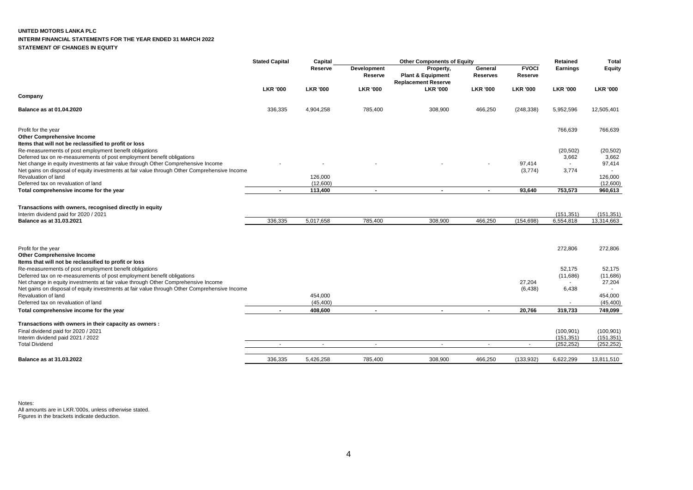## **UNITED MOTORS LANKA PLC**

### **INTERIM FINANCIAL STATEMENTS FOR THE YEAR ENDED 31 MARCH 2022**

**STATEMENT OF CHANGES IN EQUITY**

|                                                                                                                                                                                           | <b>Stated Capital</b> | Capital             |                          | <b>Other Components of Equity</b>                                       |                            |                         | Retained                 | <b>Total</b>             |
|-------------------------------------------------------------------------------------------------------------------------------------------------------------------------------------------|-----------------------|---------------------|--------------------------|-------------------------------------------------------------------------|----------------------------|-------------------------|--------------------------|--------------------------|
|                                                                                                                                                                                           |                       | Reserve             | Development<br>Reserve   | Property,<br><b>Plant &amp; Equipment</b><br><b>Replacement Reserve</b> | General<br><b>Reserves</b> | <b>FVOCI</b><br>Reserve | <b>Earnings</b>          | Equity                   |
|                                                                                                                                                                                           | <b>LKR '000</b>       | <b>LKR '000</b>     | <b>LKR '000</b>          | <b>LKR '000</b>                                                         | <b>LKR '000</b>            | <b>LKR '000</b>         | <b>LKR '000</b>          | <b>LKR '000</b>          |
| Company                                                                                                                                                                                   |                       |                     |                          |                                                                         |                            |                         |                          |                          |
| Balance as at 01.04.2020                                                                                                                                                                  | 336,335               | 4,904,258           | 785,400                  | 308,900                                                                 | 466,250                    | (248, 338)              | 5,952,596                | 12,505,401               |
| Profit for the year<br><b>Other Comprehensive Income</b><br>Items that will not be reclassified to profit or loss                                                                         |                       |                     |                          |                                                                         |                            |                         | 766,639                  | 766,639                  |
| Re-measurements of post employment benefit obligations<br>Deferred tax on re-measurements of post employment benefit obligations                                                          |                       |                     |                          |                                                                         |                            |                         | (20, 502)<br>3,662       | (20, 502)<br>3,662       |
| Net change in equity investments at fair value through Other Comprehensive Income                                                                                                         |                       |                     |                          |                                                                         |                            | 97,414                  |                          | 97,414                   |
| Net gains on disposal of equity investments at fair value through Other Comprehensive Income<br>Revaluation of land<br>Deferred tax on revaluation of land                                |                       | 126,000<br>(12,600) |                          |                                                                         |                            | (3,774)                 | 3,774                    | 126,000<br>(12,600)      |
| Total comprehensive income for the year                                                                                                                                                   | $\blacksquare$        | 113,400             | $\blacksquare$           | $\overline{\phantom{a}}$                                                | $\blacksquare$             | 93,640                  | 753,573                  | 960,613                  |
|                                                                                                                                                                                           |                       |                     |                          |                                                                         |                            |                         |                          |                          |
| Transactions with owners, recognised directly in equity<br>Interim dividend paid for 2020 / 2021                                                                                          |                       |                     |                          |                                                                         |                            |                         | (151, 351)               | (151, 351)               |
| Balance as at 31.03.2021                                                                                                                                                                  | 336,335               | 5,017,658           | 785,400                  | 308,900                                                                 | 466,250                    | (154, 698)              | 6,554,818                | 13,314,663               |
|                                                                                                                                                                                           |                       |                     |                          |                                                                         |                            |                         |                          |                          |
| Profit for the year<br><b>Other Comprehensive Income</b>                                                                                                                                  |                       |                     |                          |                                                                         |                            |                         | 272,806                  | 272,806                  |
| Items that will not be reclassified to profit or loss<br>Re-measurements of post employment benefit obligations<br>Deferred tax on re-measurements of post employment benefit obligations |                       |                     |                          |                                                                         |                            |                         | 52,175<br>(11,686)       | 52,175<br>(11,686)       |
| Net change in equity investments at fair value through Other Comprehensive Income<br>Net gains on disposal of equity investments at fair value through Other Comprehensive Income         |                       |                     |                          |                                                                         |                            | 27,204<br>(6, 438)      | $\sim$<br>6,438          | 27,204<br>$\sim$         |
| Revaluation of land                                                                                                                                                                       |                       | 454,000             |                          |                                                                         |                            |                         |                          | 454,000                  |
| Deferred tax on revaluation of land                                                                                                                                                       |                       | (45, 400)           |                          |                                                                         |                            |                         |                          | (45, 400)                |
| Total comprehensive income for the year                                                                                                                                                   | $\blacksquare$        | 408,600             | $\sim$                   | $\sim$                                                                  | $\blacksquare$             | 20,766                  | 319,733                  | 749,099                  |
| Transactions with owners in their capacity as owners :                                                                                                                                    |                       |                     |                          |                                                                         |                            |                         |                          |                          |
| Final dividend paid for 2020 / 2021<br>Interim dividend paid 2021 / 2022                                                                                                                  |                       |                     |                          |                                                                         |                            |                         | (100, 901)<br>(151, 351) | (100, 901)<br>(151, 351) |
| <b>Total Dividend</b>                                                                                                                                                                     | ۰                     | $\blacksquare$      | $\overline{\phantom{a}}$ |                                                                         |                            | $\sim$                  | (252, 252)               | (252, 252)               |
| Balance as at 31.03.2022                                                                                                                                                                  | 336,335               | 5,426,258           | 785,400                  | 308,900                                                                 | 466,250                    | (133, 932)              | 6,622,299                | 13,811,510               |

Notes: All amounts are in LKR.'000s, unless otherwise stated. Figures in the brackets indicate deduction.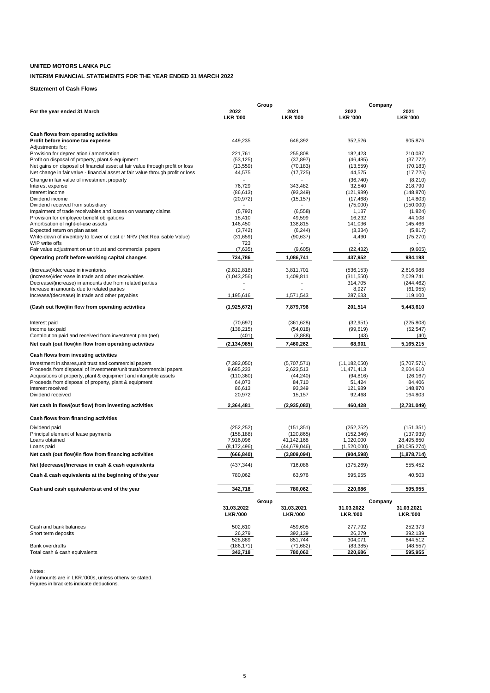# **UNITED MOTORS LANKA PLC**

# **INTERIM FINANCIAL STATEMENTS FOR THE YEAR ENDED 31 MARCH 2022**

# **Statement of Cash Flows**

| Group                                                                                        |                               |       |                               |                               | Company                       |  |  |
|----------------------------------------------------------------------------------------------|-------------------------------|-------|-------------------------------|-------------------------------|-------------------------------|--|--|
| For the year ended 31 March                                                                  | 2022<br><b>LKR '000</b>       |       | 2021<br><b>LKR '000</b>       | 2022<br><b>LKR '000</b>       | 2021<br><b>LKR '000</b>       |  |  |
|                                                                                              |                               |       |                               |                               |                               |  |  |
| Cash flows from operating activities<br>Profit before income tax expense<br>Adjustments for; | 449,235                       |       | 646,392                       | 352,526                       | 905,876                       |  |  |
| Provision for depreciation / amortisation                                                    | 221,761                       |       | 255,808                       | 182,423                       | 210.037                       |  |  |
| Profit on disposal of property, plant & equipment                                            | (53, 125)                     |       | (37, 897)                     | (46, 485)                     | (37, 772)                     |  |  |
| Net gains on disposal of financial asset at fair value through profit or loss                | (13, 559)                     |       | (70, 183)                     | (13, 559)                     | (70, 183)                     |  |  |
| Net change in fair value - financial asset at fair value through profit or loss              | 44,575                        |       | (17, 725)                     | 44,575                        | (17, 725)                     |  |  |
| Change in fair value of investment property                                                  |                               |       | $\overline{a}$                | (36, 740)                     | (8, 210)                      |  |  |
| Interest expense                                                                             | 76,729                        |       | 343,482                       | 32,540                        | 218.790                       |  |  |
| Interest income                                                                              | (86, 613)                     |       | (93, 349)                     | (121, 989)                    | (148, 870)                    |  |  |
| Dividend income                                                                              | (20, 972)                     |       | (15, 157)                     | (17, 468)                     | (14, 803)                     |  |  |
| Dividend received from subsidiary                                                            |                               |       |                               | (75,000)                      | (150,000)                     |  |  |
| Impairment of trade receivables and losses on warranty claims                                | (5,792)                       |       | (6, 558)                      | 1,137                         | (1,824)                       |  |  |
| Provision for employee benefit obligations                                                   | 18,410                        |       | 49,599                        | 16,232                        | 44,108                        |  |  |
| Amortisation of right-of-use assets<br>Expected return on plan asset                         | 146,450                       |       | 138,815                       | 141,036                       | 145,466<br>(5, 817)           |  |  |
| Write-down of inventory to lower of cost or NRV (Net Realisable Value)                       | (3,742)<br>(31,659)           |       | (6, 244)<br>(90, 637)         | (3, 334)<br>4,490             | (75, 270)                     |  |  |
| WIP write offs                                                                               | 723                           |       |                               |                               |                               |  |  |
| Fair value adjustment on unit trust and commercial papers                                    | (7,635)                       |       | (9,605)                       | (22, 432)                     | (9,605)                       |  |  |
|                                                                                              |                               |       |                               |                               |                               |  |  |
| Operating profit before working capital changes                                              | 734,786                       |       | 1,086,741                     | 437,952                       | 984,198                       |  |  |
| (Increase)/decrease in inventories                                                           | (2,812,818)                   |       | 3.811.701                     | (536, 153)                    | 2,616,988                     |  |  |
| (Increase)/decrease in trade and other receivables                                           | (1,043,256)                   |       | 1,409,811                     | (311, 550)                    | 2,029,741                     |  |  |
| Decrease/(increase) in amounts due from related parties                                      |                               |       |                               | 314,705                       | (244, 462)                    |  |  |
| Increase in amounts due to related parties                                                   |                               |       |                               | 8,927                         | (61, 955)                     |  |  |
| Increase/(decrease) in trade and other payables                                              | 1,195,616                     |       | 1,571,543                     | 287,633                       | 119,100                       |  |  |
| (Cash out flow)/in flow from operating activities                                            | (1,925,672)                   |       | 7,879,796                     | 201.514                       | 5,443,610                     |  |  |
|                                                                                              |                               |       |                               |                               |                               |  |  |
| Interest paid                                                                                | (70, 697)                     |       | (361.628)                     | (32, 951)                     | (225.808)                     |  |  |
| Income tax paid                                                                              | (138, 215)                    |       | (54, 018)                     | (99, 619)                     | (52, 547)                     |  |  |
| Contribution paid and received from investment plan (net)                                    | (401)                         |       | (3,888)                       | (43)                          | (40)                          |  |  |
| Net cash (out flow)/in flow from operating activities                                        | (2, 134, 985)                 |       | 7,460,262                     | 68,901                        | 5,165,215                     |  |  |
| Cash flows from investing activities                                                         |                               |       |                               |                               |                               |  |  |
| Investment in shares, unit trust and commercial papers                                       | (7, 382, 050)                 |       | (5,707,571)                   | (11, 182, 050)                | (5,707,571)                   |  |  |
| Proceeds from disposal of investments/unit trust/commercial papers                           | 9,685,233                     |       | 2,623,513                     | 11,471,413                    | 2,604,610                     |  |  |
| Acquisitions of property, plant & equipment and intangible assets                            | (110, 360)                    |       | (44, 240)                     | (94, 816)                     | (26, 167)                     |  |  |
| Proceeds from disposal of property, plant & equipment                                        | 64,073                        |       | 84,710                        | 51,424                        | 84,406                        |  |  |
| Interest received                                                                            | 86,613                        |       | 93,349                        | 121,989                       | 148,870                       |  |  |
| Dividend received                                                                            | 20,972                        |       | 15,157                        | 92,468                        | 164,803                       |  |  |
| Net cash in flow/(out flow) from investing activities                                        | 2,364,481                     |       | (2,935,082)                   | 460,428                       | (2,731,049)                   |  |  |
| Cash flows from financing activities                                                         |                               |       |                               |                               |                               |  |  |
| Dividend paid                                                                                | (252, 252)                    |       | (151, 351)                    | (252, 252)                    | (151, 351)                    |  |  |
| Principal element of lease payments                                                          | (158, 188)                    |       | (120, 865)                    | (152, 346)                    | (137, 939)                    |  |  |
| Loans obtained                                                                               | 7,916,096                     |       | 41,142,168                    | 1,020,000                     | 28,495,850                    |  |  |
| Loans paid                                                                                   | (8, 172, 496)                 |       | (44,679,046)                  | (1,520,000)                   | (30,085,274)                  |  |  |
| Net cash (out flow)/in flow from financing activities                                        | (666, 840)                    |       | (3,809,094)                   | (904, 598)                    | (1,878,714)                   |  |  |
| Net (decrease)/increase in cash & cash equivalents                                           | (437, 344)                    |       | 716.086                       | (375, 269)                    | 555.452                       |  |  |
| Cash & cash equivalents at the beginning of the year                                         | 780,062                       |       | 63,976                        | 595,955                       | 40,503                        |  |  |
| Cash and cash equivalents at end of the year                                                 | 342,718                       |       | 780,062                       | 220,686                       | 595,955                       |  |  |
|                                                                                              |                               | Group |                               | Company                       |                               |  |  |
|                                                                                              | 31.03.2022<br><b>LKR.'000</b> |       | 31.03.2021<br><b>LKR.'000</b> | 31.03.2022<br><b>LKR.'000</b> | 31.03.2021<br><b>LKR.'000</b> |  |  |
| Cash and bank balances                                                                       | 502,610                       |       | 459,605                       | 277,792                       | 252,373                       |  |  |
| Short term deposits                                                                          | 26,279                        |       | 392,139                       | 26,279                        | 392,139                       |  |  |
|                                                                                              | 528,889                       |       | 851,744                       | 304,071                       | 644,512                       |  |  |
| Bank overdrafts                                                                              | (186,171)                     |       | (71, 682)                     | (83, 385)                     | (48, 557)                     |  |  |
| Total cash & cash equivalents                                                                | 342,718                       |       | 780,062                       | 220,686                       | 595,955                       |  |  |

Notes: All amounts are in LKR.'000s, unless otherwise stated. Figures in brackets indicate deductions.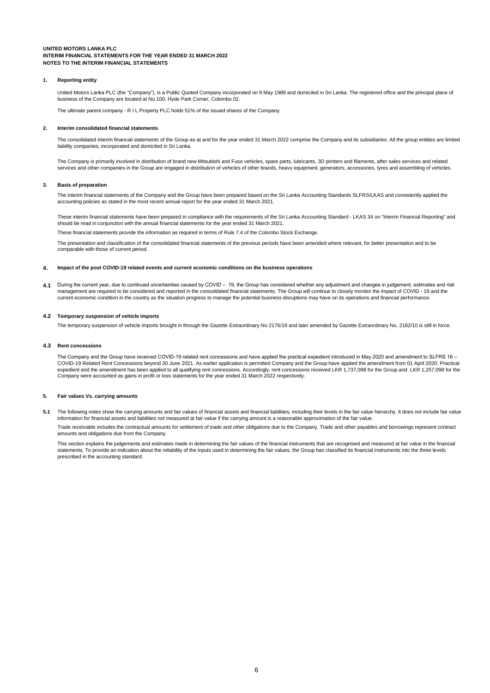#### **1. Reporting entity**

United Motors Lanka PLC (the "Company"), is a Public Quoted Company incorporated on 9 May 1989 and domiciled in Sri Lanka. The registered office and the principal place of business of the Company are located at No.100, Hyde Park Corner, Colombo 02.

The ultimate parent company - R I L Property PLC holds 51% of the issued shares of the Company.

#### **2. Interim consolidated financial statements**

The consolidated interim financial statements of the Group as at and for the year ended 31 March 2022 comprise the Company and its subsidiaries. All the group entities are limited liability companies, incorporated and domiciled in Sri Lanka.

The Company is primarily involved in distribution of brand new Mitsubishi and Fuso vehicles, spare parts, lubricants, 3D printers and filaments, after sales services and related services and other companies in the Group are engaged in distribution of vehicles of other brands, heavy equipment, generators, accessories, tyres and assembling of vehicles.

#### **3. Basis of preparation**

The interim financial statements of the Company and the Group have been prepared based on the Sri Lanka Accounting Standards SLFRS/LKAS and consistently applied the accounting policies as stated in the most recent annual report for the year ended 31 March 2021.

These interim financial statements have been prepared in compliance with the requirements of the Sri Lanka Accounting Standard - LKAS 34 on "Interim Financial Reporting" and should be read in conjunction with the annual financial statements for the year ended 31 March 2021.

These financial statements provide the information as required in terms of Rule 7.4 of the Colombo Stock Exchange.

The presentation and classification of the consolidated financial statements of the previous periods have been amended where relevant, for better presentation and to be comparable with those of current period.

#### **4. Impact of the post COVID-19 related events and current economic conditions on the business operations**

**4.1** During the current year, due to continued uncertainties caused by COVID – 19, the Group has considered whether any adjustment and changes in judgement, estimates and risk management are required to be considered and reported in the consolidated financial statements. The Group will continue to closely monitor the impact of COVID - 19 and the current economic condition in the country as the situation progress to manage the potential business disruptions may have on its operations and financial performance.

#### **4.2 Temporary suspension of vehicle imports**

The temporary suspension of vehicle imports brought in through the Gazette Extraordinary No 2176/19 and later amended by Gazette Extraordinary No. 2182/10 is still in force.

#### **4.3 Rent concessions**

The Company and the Group have received COVID-19 related rent concessions and have applied the practical expedient introduced in May 2020 and amendment to SLFRS 16 – COVID-19 Related Rent Concessions beyond 30 June 2021. As earlier application is permitted Company and the Group have applied the amendment from 01 April 2020. Practical expedient and the amendment has been applied to all qualifying rent concessions. Accordingly, rent concessions received LKR 1,737,098 for the Group and LKR 1,257,098 for the Company were accounted as gains in profit or loss statements for the year ended 31 March 2022 respectively.

### **5. Fair values Vs. carrying amounts**

**5.1** The following notes show the carrying amounts and fair values of financial assets and financial liabilities, including their levels in the fair value hierarchy. It does not include fair value information for financial assets and liabilities not measured at fair value if the carrying amount is a reasonable approximation of the fair value.

Trade receivable includes the contractual amounts for settlement of trade and other obligations due to the Company. Trade and other payables and borrowings represent contract amounts and obligations due from the Company.

This section explains the judgements and estimates made in determining the fair values of the financial instruments that are recognised and measured at fair value in the financial statements. To provide an indication about the reliability of the inputs used in determining the fair values, the Group has classified its financial instruments into the three levels prescribed in the accounting standard.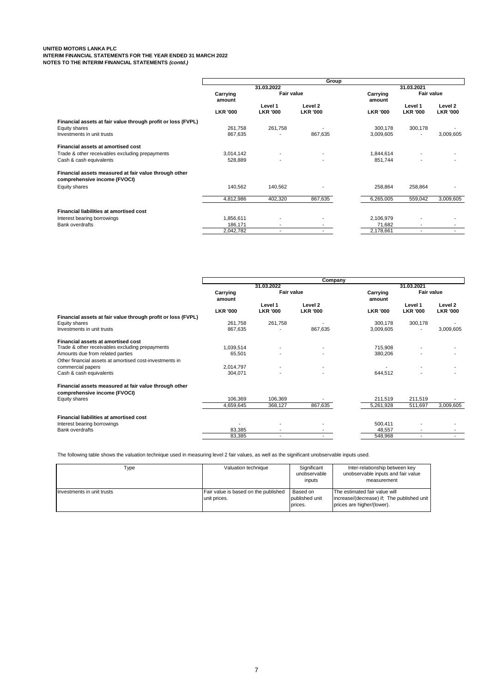|                                                                                       |                    |                            | Group                      |                      |                            |                            |
|---------------------------------------------------------------------------------------|--------------------|----------------------------|----------------------------|----------------------|----------------------------|----------------------------|
|                                                                                       |                    | 31.03.2022                 |                            |                      | 31.03.2021                 |                            |
|                                                                                       | Carrying<br>amount | <b>Fair value</b>          |                            | Carrying<br>amount   | Fair value                 |                            |
|                                                                                       | <b>LKR '000</b>    | Level 1<br><b>LKR '000</b> | Level 2<br><b>LKR '000</b> | <b>LKR '000</b>      | Level 1<br><b>LKR '000</b> | Level 2<br><b>LKR '000</b> |
| Financial assets at fair value through profit or loss (FVPL)                          |                    |                            |                            |                      |                            |                            |
| Equity shares<br>Investments in unit trusts                                           | 261,758<br>867,635 | 261,758                    | 867,635                    | 300,178<br>3,009,605 | 300,178                    | 3,009,605                  |
| <b>Financial assets at amortised cost</b>                                             |                    |                            |                            |                      |                            |                            |
| Trade & other receivables excluding prepayments                                       | 3,014,142          | $\blacksquare$             | $\overline{\phantom{a}}$   | 1,844,614            |                            |                            |
| Cash & cash equivalents                                                               | 528,889            | $\overline{\phantom{a}}$   | $\overline{\phantom{a}}$   | 851,744              |                            |                            |
| Financial assets measured at fair value through other<br>comprehensive income (FVOCI) |                    |                            |                            |                      |                            |                            |
| Equity shares                                                                         | 140,562            | 140,562                    | $\blacksquare$             | 258,864              | 258,864                    |                            |
|                                                                                       | 4,812,986          | 402,320                    | 867,635                    | 6,265,005            | 559,042                    | 3,009,605                  |
| <b>Financial liabilities at amortised cost</b>                                        |                    |                            |                            |                      |                            |                            |
| Interest bearing borrowings                                                           | 1,856,611          | $\blacksquare$             |                            | 2,106,979            |                            |                            |
| <b>Bank overdrafts</b>                                                                | 186,171            | $\blacksquare$             | $\overline{\phantom{a}}$   | 71.682               | $\overline{\phantom{0}}$   | $\overline{\phantom{a}}$   |
|                                                                                       | 2,042,782          | $\blacksquare$             | $\overline{\phantom{a}}$   | 2,178,661            | $\overline{\phantom{0}}$   |                            |

|                    |                            | Company                    |                    |                            |                            |
|--------------------|----------------------------|----------------------------|--------------------|----------------------------|----------------------------|
|                    | 31.03.2022                 |                            |                    | 31.03.2021                 |                            |
| Carrying<br>amount |                            |                            | Carrying<br>amount | <b>Fair value</b>          |                            |
| <b>LKR '000</b>    | Level 1<br><b>LKR '000</b> | Level 2<br><b>LKR '000</b> | <b>LKR '000</b>    | Level 1<br><b>LKR '000</b> | Level 2<br><b>LKR '000</b> |
|                    |                            |                            |                    |                            |                            |
| 261,758            | 261,758                    |                            | 300,178            | 300,178                    |                            |
| 867,635            |                            | 867,635                    | 3,009,605          | $\overline{\phantom{a}}$   | 3,009,605                  |
|                    |                            |                            |                    |                            |                            |
| 1,039,514          |                            |                            | 715,908            |                            |                            |
| 65,501             |                            |                            | 380,206            |                            |                            |
|                    |                            |                            |                    |                            |                            |
| 2,014,797          |                            |                            |                    |                            |                            |
| 304,071            |                            | $\blacksquare$             | 644,512            |                            |                            |
|                    |                            |                            |                    |                            |                            |
|                    |                            |                            |                    |                            |                            |
| 106,369            | 106,369                    |                            | 211,519            | 211,519                    |                            |
| 4,659,645          | 368,127                    | 867,635                    | 5,261,928          | 511,697                    | 3,009,605                  |
|                    |                            |                            |                    |                            |                            |
|                    |                            |                            | 500,411            |                            |                            |
| 83,385             |                            |                            | 48,557             |                            |                            |
| 83,385             | $\overline{\phantom{a}}$   |                            | 548,968            | $\blacksquare$             |                            |
|                    |                            |                            | Fair value         |                            |                            |

The following table shows the valuation technique used in measuring level 2 fair values, as well as the significant unobservable inputs used.

| Type                       | Valuation technique                                  | Significant<br>unobservable<br>inputs | Inter-relationship between key<br>unobservable inputs and fair value<br>measurement                       |
|----------------------------|------------------------------------------------------|---------------------------------------|-----------------------------------------------------------------------------------------------------------|
| Investments in unit trusts | Fair value is based on the published<br>unit prices. | Based on<br>published unit<br>prices. | The estimated fair value will<br>increase/(decrease) if: The published unit<br>prices are higher/(lower). |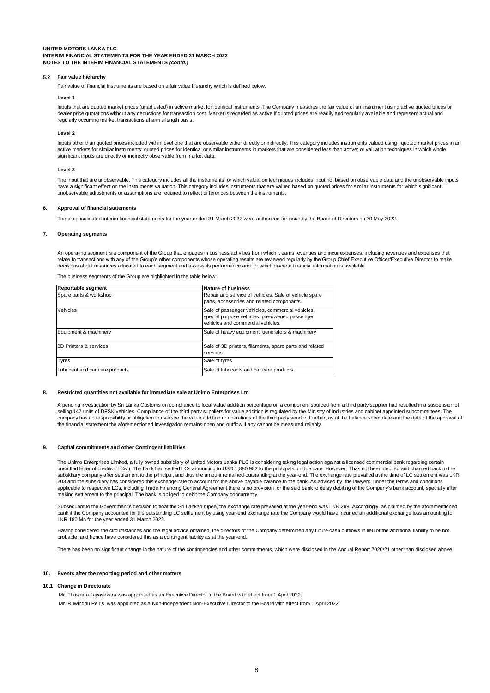#### **5.2 Fair value hierarchy**

Fair value of financial instruments are based on a fair value hierarchy which is defined below.

### **Level 1**

Inputs that are quoted market prices (unadjusted) in active market for identical instruments. The Company measures the fair value of an instrument using active quoted prices or dealer price quotations without any deductions for transaction cost. Market is regarded as active if quoted prices are readily and regularly available and represent actual and regularly occurring market transactions at arm's length basis.

#### **Level 2**

Inputs other than quoted prices included within level one that are observable either directly or indirectly. This category includes instruments valued using ; quoted market prices in an active markets for similar instruments; quoted prices for identical or similar instruments in markets that are considered less than active; or valuation techniques in which whole significant inputs are directly or indirectly observable from market data.

#### **Level 3**

The input that are unobservable. This category includes all the instruments for which valuation techniques includes input not based on observable data and the unobservable inputs have a significant effect on the instruments valuation. This category includes instruments that are valued based on quoted prices for similar instruments for which significant unobservable adjustments or assumptions are required to reflect differences between the instruments.

#### **6. Approval of financial statements**

These consolidated interim financial statements for the year ended 31 March 2022 were authorized for issue by the Board of Directors on 30 May 2022.

#### **7. Operating segments**

An operating segment is a component of the Group that engages in business activities from which it earns revenues and incur expenses, including revenues and expenses that relate to transactions with any of the Group's other components whose operating results are reviewed regularly by the Group Chief Executive Officer/Executive Director to make decisions about resources allocated to each segment and assess its performance and for which discrete financial information is available.

The business segments of the Group are highlighted in the table below:

| Reportable segment              | <b>Nature of business</b>                                                                                                               |
|---------------------------------|-----------------------------------------------------------------------------------------------------------------------------------------|
| Spare parts & workshop          | Repair and service of vehicles. Sale of vehicle spare<br>parts, accessories and related componants.                                     |
| Vehicles                        | Sale of passenger vehicles, commercial vehicles,<br>special purpose vehicles, pre-owened passenger<br>vehicles and commercial vehicles. |
| Equipment & machinery           | Sale of heavy equipment, generators & machinery                                                                                         |
| 3D Printers & services          | Sale of 3D printers, filaments, spare parts and related<br>services                                                                     |
| Tyres                           | Sale of tyres                                                                                                                           |
| Lubricant and car care products | Sale of lubricants and car care products                                                                                                |

### **8. Restricted quantities not available for immediate sale at Unimo Enterprises Ltd**

A pending investigation by Sri Lanka Customs on compliance to local value addition percentage on a component sourced from a third party supplier had resulted in a suspension of selling 147 units of DFSK vehicles. Compliance of the third party suppliers for value addition is regulated by the Ministry of Industries and cabinet appointed subcommittees. The company has no responsibility or obligation to oversee the value addition or operations of the third party vendor. Further, as at the balance sheet date and the date of the approval of the financial statement the aforementioned investigation remains open and outflow if any cannot be measured reliably.

#### **9. Capital commitments and other Contingent liabilities**

The Unimo Enterprises Limited, a fully owned subsidiary of United Motors Lanka PLC is considering taking legal action against a licensed commercial bank regarding certain unsettled letter of credits ("LCs"). The bank had settled LCs amounting to USD 1,880,982 to the principals on due date. However, it has not been debited and charged back to the subsidiary company after settlement to the principal, and thus the amount remained outstanding at the year-end. The exchange rate prevailed at the time of LC settlement was LKR<br>203 and the subsidiary has considered this ex applicable to respective LCs, including Trade Financing General Agreement there is no provision for the said bank to delay debiting of the Company's bank account, specially after making settlement to the principal. The bank is obliged to debit the Company concurrently.

Subsequent to the Government's decision to float the Sri Lankan rupee, the exchange rate prevailed at the year-end was LKR 299. Accordingly, as claimed by the aforementioned bank if the Company accounted for the outstanding LC settlement by using year-end exchange rate the Company would have incurred an additional exchange loss amounting to LKR 180 Mn for the year ended 31 March 2022.

Having considered the circumstances and the legal advice obtained, the directors of the Company determined any future cash outflows in lieu of the additional liability to be not probable, and hence have considered this as a contingent liability as at the year-end.

There has been no significant change in the nature of the contingencies and other commitments, which were disclosed in the Annual Report 2020/21 other than disclosed above,

### **10. Events after the reporting period and other matters**

#### **10.1 Change in Directorate**

 Mr. Thushara Jayasekara was appointed as an Executive Director to the Board with effect from 1 April 2022. Mr. Ruwindhu Peiris was appointed as a Non-Independent Non-Executive Director to the Board with effect from 1 April 2022.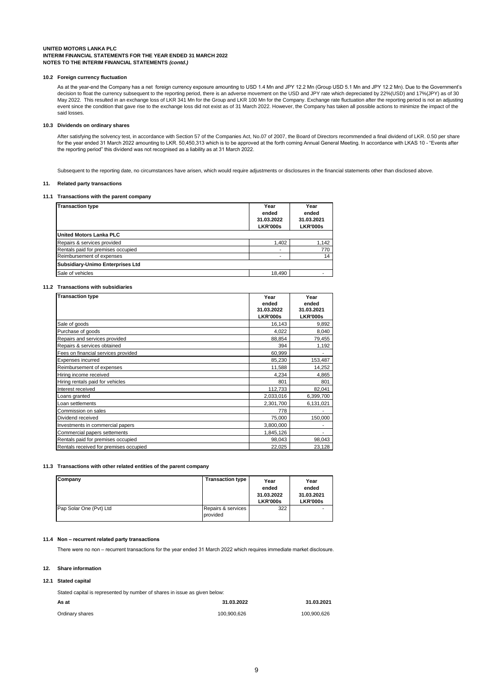#### **10.2 Foreign currency fluctuation**

As at the year-end the Company has a net foreign currency exposure amounting to USD 1.4 Mn and JPY 12.2 Mn (Group USD 5.1 Mn and JPY 12.2 Mn). Due to the Government's decision to float the currency subsequent to the reporting period, there is an adverse movement on the USD and JPY rate which depreciated by 22%(USD) and 17%(JPY) as of 30<br>May 2022. This resulted in an exchange loss of LKR event since the condition that gave rise to the exchange loss did not exist as of 31 March 2022. However, the Company has taken all possible actions to minimize the impact of the said losses.

### **10.3 Dividends on ordinary shares**

After satisfying the solvency test, in accordance with Section 57 of the Companies Act, No.07 of 2007, the Board of Directors recommended a final dividend of LKR. 0.50 per share for the year ended 31 March 2022 amounting to LKR. 50,450,313 which is to be approved at the forth coming Annual General Meeting. In accordance with LKAS 10 - "Events after the reporting period" this dividend was not recognised as a liability as at 31 March 2022.

Subsequent to the reporting date, no circumstances have arisen, which would require adjustments or disclosures in the financial statements other than disclosed above.

### **11. Related party transactions**

### **11.1 Transactions with the parent company**

| <b>Transaction type</b>            | Year<br>ended<br>31.03.2022<br><b>LKR'000s</b> | Year<br>ended<br>31.03.2021<br><b>LKR'000s</b> |
|------------------------------------|------------------------------------------------|------------------------------------------------|
| <b>United Motors Lanka PLC</b>     |                                                |                                                |
| Repairs & services provided        | 1.402                                          | 1,142                                          |
| Rentals paid for premises occupied | -                                              | 770                                            |
| Reimbursement of expenses          |                                                | 14                                             |
| Subsidiary-Unimo Enterprises Ltd   |                                                |                                                |
| Sale of vehicles                   | 18,490                                         |                                                |

## **11.2 Transactions with subsidiaries**

| <b>Transaction type</b>                | Year<br>ended<br>31.03.2022<br><b>LKR'000s</b> | Year<br>ended<br>31.03.2021<br><b>LKR'000s</b> |
|----------------------------------------|------------------------------------------------|------------------------------------------------|
| Sale of goods                          | 16,143                                         | 9,892                                          |
| Purchase of goods                      | 4.022                                          | 8,040                                          |
| Repairs and services provided          | 88,854                                         | 79,455                                         |
| Repairs & services obtained            | 394                                            | 1,192                                          |
| Fees on financial services provided    | 60,999                                         |                                                |
| Expenses incurred                      | 85,230                                         | 153,487                                        |
| Reimbursement of expenses              | 11,588                                         | 14.252                                         |
| Hiring income received                 | 4,234                                          | 4,865                                          |
| Hiring rentals paid for vehicles       | 801                                            | 801                                            |
| Interest received                      | 112,733                                        | 82,041                                         |
| Loans granted                          | 2,033,016                                      | 6,399,700                                      |
| Loan settlements                       | 2,301,700                                      | 6,131,021                                      |
| Commission on sales                    | 778                                            |                                                |
| Dividend received                      | 75,000                                         | 150,000                                        |
| Investments in commercial papers       | 3,800,000                                      |                                                |
| Commercial papers settements           | 1,845,126                                      | $\overline{\phantom{0}}$                       |
| Rentals paid for premises occupied     | 98,043                                         | 98,043                                         |
| Rentals received for premises occupied | 22,025                                         | 23,128                                         |

### **11.3 Transactions with other related entities of the parent company**

| Company                 | <b>Transaction type</b>        | Year<br>ended<br>31.03.2022<br><b>LKR'000s</b> | Year<br>ended<br>31.03.2021<br><b>LKR'000s</b> |
|-------------------------|--------------------------------|------------------------------------------------|------------------------------------------------|
| Pap Solar One (Pvt) Ltd | Repairs & services<br>provided | 322                                            | -                                              |

#### **11.4 Non – recurrent related party transactions**

There were no non – recurrent transactions for the year ended 31 March 2022 which requires immediate market disclosure.

#### **12. Share information**

### **12.1 Stated capital**

| Stated capital is represented by number of shares in issue as given below: |             |             |  |  |  |  |  |
|----------------------------------------------------------------------------|-------------|-------------|--|--|--|--|--|
| As at                                                                      | 31.03.2022  | 31.03.2021  |  |  |  |  |  |
| Ordinary shares                                                            | 100.900.626 | 100.900.626 |  |  |  |  |  |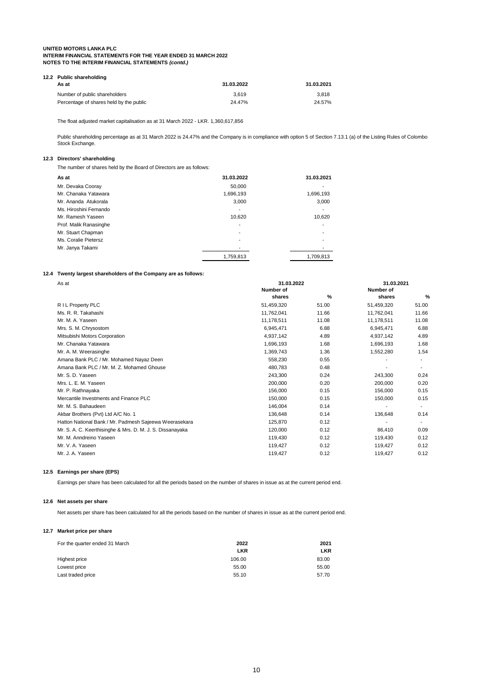| 12.2 Public shareholding                |            |            |  |  |  |  |  |  |  |  |  |
|-----------------------------------------|------------|------------|--|--|--|--|--|--|--|--|--|
| As at                                   | 31.03.2022 | 31.03.2021 |  |  |  |  |  |  |  |  |  |
| Number of public shareholders           | 3.619      | 3.818      |  |  |  |  |  |  |  |  |  |
| Percentage of shares held by the public | 24.47%     | 24.57%     |  |  |  |  |  |  |  |  |  |

The float adjusted market capitalisation as at 31 March 2022 - LKR. 1,360,617,856

Public shareholding percentage as at 31 March 2022 is 24.47% and the Company is in compliance with option 5 of Section 7.13.1 (a) of the Listing Rules of Colombo Stock Exchange.

# **12.3 Directors' shareholding**

The number of shares held by the Board of Directors are as follows:

| As at                  | 31.03.2022 | 31.03.2021               |
|------------------------|------------|--------------------------|
| Mr. Devaka Cooray      | 50.000     | -                        |
| Mr. Chanaka Yatawara   | 1,696,193  | 1,696,193                |
| Mr. Ananda Atukorala   | 3.000      | 3,000                    |
| Ms. Hiroshini Fernando | -          | $\overline{\phantom{a}}$ |
| Mr. Ramesh Yaseen      | 10.620     | 10.620                   |
| Prof. Malik Ranasinghe | ۰          |                          |
| Mr. Stuart Chapman     | ۰          | -                        |
| Ms. Coralie Pietersz   |            |                          |
| Mr. Janya Takami       |            |                          |
|                        | 1,759,813  | 1,709,813                |

## **12.4 Twenty largest shareholders of the Company are as follows:**

| As at                                                     | 31.03.2022 | 31.03.2021 |                          |                |  |
|-----------------------------------------------------------|------------|------------|--------------------------|----------------|--|
|                                                           | Number of  |            | Number of                |                |  |
|                                                           | shares     | %          | shares                   | %              |  |
| R I L Property PLC                                        | 51,459,320 | 51.00      | 51,459,320               | 51.00          |  |
| Ms. R. R. Takahashi                                       | 11,762,041 | 11.66      | 11,762,041               | 11.66          |  |
| Mr. M. A. Yaseen                                          | 11,178,511 | 11.08      | 11,178,511               | 11.08          |  |
| Mrs. S. M. Chrysostom                                     | 6,945,471  | 6.88       | 6.945.471                | 6.88           |  |
| Mitsubishi Motors Corporation                             | 4,937,142  | 4.89       | 4,937,142                | 4.89           |  |
| Mr. Chanaka Yatawara                                      | 1,696,193  | 1.68       | 1,696,193                | 1.68           |  |
| Mr. A. M. Weerasinghe                                     | 1,369,743  | 1.36       | 1,552,280                | 1.54           |  |
| Amana Bank PLC / Mr. Mohamed Nayaz Deen                   | 558,230    | 0.55       |                          |                |  |
| Amana Bank PLC / Mr. M. Z. Mohamed Ghouse                 | 480,783    | 0.48       |                          |                |  |
| Mr. S. D. Yaseen                                          | 243,300    | 0.24       | 243,300                  | 0.24           |  |
| Mrs. L. E. M. Yaseen                                      | 200,000    | 0.20       | 200,000                  | 0.20           |  |
| Mr. P. Rathnayaka                                         | 156,000    | 0.15       | 156,000                  | 0.15           |  |
| Mercantile Investments and Finance PLC                    | 150,000    | 0.15       | 150,000                  | 0.15           |  |
| Mr. M. S. Bahaudeen                                       | 146,004    | 0.14       |                          |                |  |
| Akbar Brothers (Pvt) Ltd A/C No. 1                        | 136.648    | 0.14       | 136,648                  | 0.14           |  |
| Hatton National Bank / Mr. Padmesh Sajeewa Weerasekara    | 125,870    | 0.12       | $\overline{\phantom{a}}$ | $\blacksquare$ |  |
| Mr. S. A. C. Keerthisinghe & Mrs. D. M. J. S. Dissanayaka | 120,000    | 0.12       | 86,410                   | 0.09           |  |
| Mr. M. Anndreino Yaseen                                   | 119,430    | 0.12       | 119,430                  | 0.12           |  |
| Mr. V. A. Yaseen                                          | 119,427    | 0.12       | 119,427                  | 0.12           |  |
| Mr. J. A. Yaseen                                          | 119,427    | 0.12       | 119,427                  | 0.12           |  |
|                                                           |            |            |                          |                |  |

## **12.5 Earnings per share (EPS)**

Earnings per share has been calculated for all the periods based on the number of shares in issue as at the current period end.

## **12.6 Net assets per share**

Net assets per share has been calculated for all the periods based on the number of shares in issue as at the current period end.

### **12.7 Market price per share**

| For the quarter ended 31 March | 2022       | 2021       |
|--------------------------------|------------|------------|
|                                | <b>LKR</b> | <b>LKR</b> |
| Highest price                  | 106.00     | 83.00      |
| Lowest price                   | 55.00      | 55.00      |
| Last traded price              | 55.10      | 57.70      |